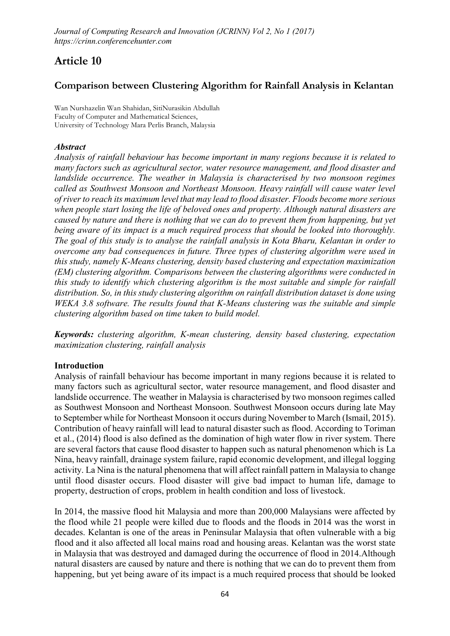# Article 10

## Comparison between Clustering Algorithm for Rainfall Analysis in Kelantan

**Wan Nurshazelin Wan Shahidan, SitiNurasikin Abdullah Faculty of Computer and Mathematical Sciences, University of Technology Mara Perlis Branch, Malaysia**

#### *Abstract*

*Analysis of rainfall behaviour has become important in many regions because it is related to many factors such as agricultural sector, water resource management, and flood disaster and landslide occurrence. The weather in Malaysia is characterised by two monsoon regimes called as Southwest Monsoon and Northeast Monsoon. Heavy rainfall will cause water level of river to reach its maximum level that may lead to flood disaster. Floods become more serious when people start losing the life of beloved ones and property. Although natural disasters are caused by nature and there is nothing that we can do to prevent them from happening, but yet being aware of its impact is a much required process that should be looked into thoroughly. The goal of this study is to analyse the rainfall analysis in Kota Bharu, Kelantan in order to overcome any bad consequences in future. Three types of clustering algorithm were used in this study, namely K-Means clustering, density based clustering and expectation maximization (EM) clustering algorithm. Comparisons between the clustering algorithms were conducted in this study to identify which clustering algorithm is the most suitable and simple for rainfall distribution. So, in this study clustering algorithm on rainfall distribution dataset is done using WEKA 3.8 software. The results found that K-Means clustering was the suitable and simple clustering algorithm based on time taken to build model.*

*Keywords: clustering algorithm, K-mean clustering, density based clustering, expectation maximization clustering, rainfall analysis*

#### Introduction

Analysis of rainfall behaviour has become important in many regions because it is related to many factors such as agricultural sector, water resource management, and flood disaster and landslide occurrence. The weather in Malaysia is characterised by two monsoon regimes called as Southwest Monsoon and Northeast Monsoon. Southwest Monsoon occurs during late May to September while for Northeast Monsoon it occurs during November to March (Ismail, 2015). Contribution of heavy rainfall will lead to natural disaster such as flood. According to Toriman et al., (2014) flood is also defined as the domination of high water flow in river system. There are several factors that cause flood disaster to happen such as natural phenomenon which is La Nina, heavy rainfall, drainage system failure, rapid economic development, and illegal logging activity. La Nina is the natural phenomena that will affect rainfall pattern in Malaysia to change until flood disaster occurs. Flood disaster will give bad impact to human life, damage to property, destruction of crops, problem in health condition and loss of livestock.

In 2014, the massive flood hit Malaysia and more than 200,000 Malaysians were affected by the flood while 21 people were killed due to floods and the floods in 2014 was the worst in decades. Kelantan is one of the areas in Peninsular Malaysia that often vulnerable with a big flood and it also affected all local mains road and housing areas. Kelantan was the worst state in Malaysia that was destroyed and damaged during the occurrence of flood in 2014.Although natural disasters are caused by nature and there is nothing that we can do to prevent them from happening, but yet being aware of its impact is a much required process that should be looked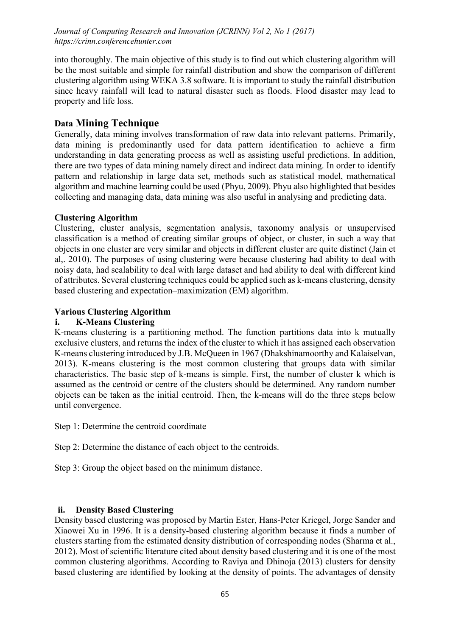into thoroughly. The main objective of this study is to find out which clustering algorithm will be the most suitable and simple for rainfall distribution and show the comparison of different clustering algorithm using WEKA 3.8 software. It is important to study the rainfall distribution since heavy rainfall will lead to natural disaster such as floods. Flood disaster may lead to property and life loss.

## Data Mining Technique

Generally, data mining involves transformation of raw data into relevant patterns. Primarily, data mining is predominantly used for data pattern identification to achieve a firm understanding in data generating process as well as assisting useful predictions. In addition, there are two types of data mining namely direct and indirect data mining. In order to identify pattern and relationship in large data set, methods such as statistical model, mathematical algorithm and machine learning could be used (Phyu, 2009). Phyu also highlighted that besides collecting and managing data, data mining was also useful in analysing and predicting data.

## Clustering Algorithm

Clustering, cluster analysis, segmentation analysis, taxonomy analysis or unsupervised classification is a method of creating similar groups of object, or cluster, in such a way that objects in one cluster are very similar and objects in different cluster are quite distinct (Jain et al,. 2010). The purposes of using clustering were because clustering had ability to deal with noisy data, had scalability to deal with large dataset and had ability to deal with different kind of attributes. Several clustering techniques could be applied such as k-means clustering, density based clustering and expectation–maximization (EM) algorithm.

#### Various Clustering Algorithm

## i. K-Means Clustering

K-means clustering is a partitioning method. The function partitions data into k mutually exclusive clusters, and returns the index of the cluster to which it has assigned each observation K-means clustering introduced by J.B. McQueen in 1967 (Dhakshinamoorthy and Kalaiselvan, 2013). K-means clustering is the most common clustering that groups data with similar characteristics. The basic step of k-means is simple. First, the number of cluster k which is assumed as the centroid or centre of the clusters should be determined. Any random number objects can be taken as the initial centroid. Then, the k-means will do the three steps below until convergence.

Step 1: Determine the centroid coordinate

Step 2: Determine the distance of each object to the centroids.

Step 3: Group the object based on the minimum distance.

## ii. Density Based Clustering

Density based clustering was proposed by Martin Ester, Hans-Peter Kriegel, Jorge Sander and Xiaowei Xu in 1996. It is a density-based clustering algorithm because it finds a number of clusters starting from the estimated density distribution of corresponding nodes (Sharma et al., 2012). Most of scientific literature cited about density based clustering and it is one of the most common clustering algorithms. According to Raviya and Dhinoja (2013) clusters for density based clustering are identified by looking at the density of points. The advantages of density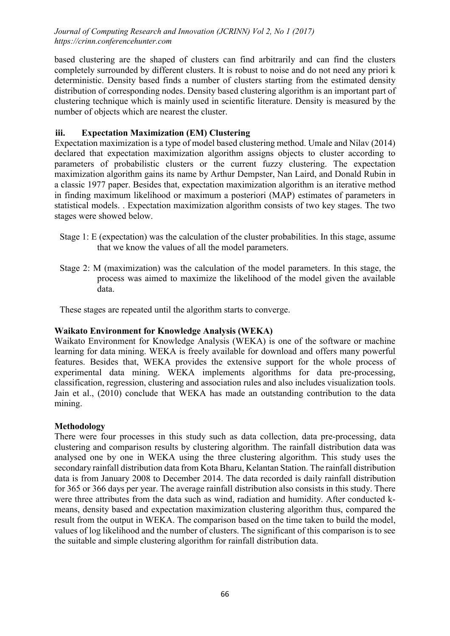based clustering are the shaped of clusters can find arbitrarily and can find the clusters completely surrounded by different clusters. It is robust to noise and do not need any priori k deterministic. Density based finds a number of clusters starting from the estimated density distribution of corresponding nodes. Density based clustering algorithm is an important part of clustering technique which is mainly used in scientific literature. Density is measured by the number of objects which are nearest the cluster.

## iii. Expectation Maximization (EM) Clustering

Expectation maximization is a type of model based clustering method. Umale and Nilav (2014) declared that expectation maximization algorithm assigns objects to cluster according to parameters of probabilistic clusters or the current fuzzy clustering. The expectation maximization algorithm gains its name by Arthur Dempster, Nan Laird, and Donald Rubin in a classic 1977 paper. Besides that, expectation maximization algorithm is an iterative method in finding maximum likelihood or maximum a posteriori (MAP) estimates of parameters in statistical models. . Expectation maximization algorithm consists of two key stages. The two stages were showed below.

- Stage 1: E (expectation) was the calculation of the cluster probabilities. In this stage, assume that we know the values of all the model parameters.
- Stage 2: M (maximization) was the calculation of the model parameters. In this stage, the process was aimed to maximize the likelihood of the model given the available data.

These stages are repeated until the algorithm starts to converge.

## Waikato Environment for Knowledge Analysis (WEKA)

Waikato Environment for Knowledge Analysis (WEKA) is one of the software or machine learning for data mining. WEKA is freely available for download and offers many powerful features. Besides that, WEKA provides the extensive support for the whole process of experimental data mining. WEKA implements algorithms for data pre-processing, classification, regression, clustering and association rules and also includes visualization tools. Jain et al., (2010) conclude that WEKA has made an outstanding contribution to the data mining.

## Methodology

There were four processes in this study such as data collection, data pre-processing, data clustering and comparison results by clustering algorithm. The rainfall distribution data was analysed one by one in WEKA using the three clustering algorithm. This study uses the secondary rainfall distribution data from Kota Bharu, Kelantan Station. The rainfall distribution data is from January 2008 to December 2014. The data recorded is daily rainfall distribution for 365 or 366 days per year. The average rainfall distribution also consists in this study. There were three attributes from the data such as wind, radiation and humidity. After conducted kmeans, density based and expectation maximization clustering algorithm thus, compared the result from the output in WEKA. The comparison based on the time taken to build the model, values of log likelihood and the number of clusters. The significant of this comparison is to see the suitable and simple clustering algorithm for rainfall distribution data.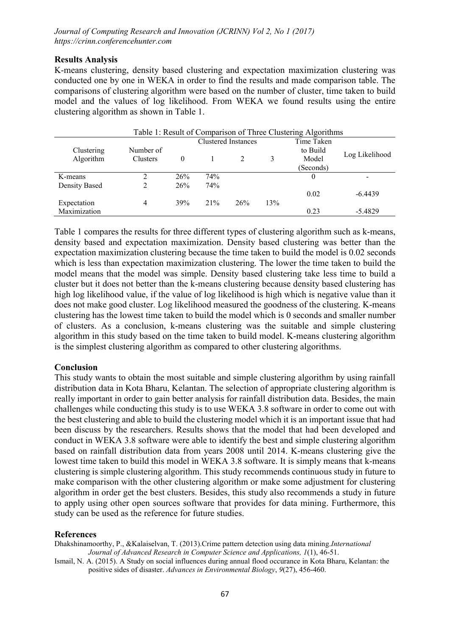#### Results Analysis

K-means clustering, density based clustering and expectation maximization clustering was conducted one by one in WEKA in order to find the results and made comparison table. The comparisons of clustering algorithm were based on the number of cluster, time taken to build model and the values of log likelihood. From WEKA we found results using the entire clustering algorithm as shown in Table 1.

| Table 1: Result of Comparison of Three Clustering Algorithms |           |                     |     |     |            |           |                          |
|--------------------------------------------------------------|-----------|---------------------|-----|-----|------------|-----------|--------------------------|
|                                                              |           | Clustered Instances |     |     | Time Taken |           |                          |
| Clustering                                                   | Number of |                     |     |     |            | to Build  |                          |
| Algorithm                                                    | Clusters  | 0                   |     |     | 3          | Model     | Log Likelihood           |
|                                                              |           |                     |     |     |            | (Seconds) |                          |
| K-means                                                      |           | 26%                 | 74% |     |            | $\theta$  | $\overline{\phantom{a}}$ |
| Density Based                                                |           | 26%                 | 74% |     |            |           |                          |
|                                                              |           |                     |     |     |            | 0.02      | $-6.4439$                |
| Expectation                                                  | 4         | 39%                 | 21% | 26% | 13%        |           |                          |
| Maximization                                                 |           |                     |     |     |            | 0.23      | $-5.4829$                |

Table 1 compares the results for three different types of clustering algorithm such as k-means, density based and expectation maximization. Density based clustering was better than the expectation maximization clustering because the time taken to build the model is 0.02 seconds which is less than expectation maximization clustering. The lower the time taken to build the model means that the model was simple. Density based clustering take less time to build a cluster but it does not better than the k-means clustering because density based clustering has high log likelihood value, if the value of log likelihood is high which is negative value than it does not make good cluster. Log likelihood measured the goodness of the clustering. K-means clustering has the lowest time taken to build the model which is 0 seconds and smaller number of clusters. As a conclusion, k-means clustering was the suitable and simple clustering algorithm in this study based on the time taken to build model. K-means clustering algorithm is the simplest clustering algorithm as compared to other clustering algorithms.

#### Conclusion

This study wants to obtain the most suitable and simple clustering algorithm by using rainfall distribution data in Kota Bharu, Kelantan. The selection of appropriate clustering algorithm is really important in order to gain better analysis for rainfall distribution data. Besides, the main challenges while conducting this study is to use WEKA 3.8 software in order to come out with the best clustering and able to build the clustering model which it is an important issue that had been discuss by the researchers. Results shows that the model that had been developed and conduct in WEKA 3.8 software were able to identify the best and simple clustering algorithm based on rainfall distribution data from years 2008 until 2014. K-means clustering give the lowest time taken to build this model in WEKA 3.8 software. It is simply means that k-means clustering is simple clustering algorithm. This study recommends continuous study in future to make comparison with the other clustering algorithm or make some adjustment for clustering algorithm in order get the best clusters. Besides, this study also recommends a study in future to apply using other open sources software that provides for data mining. Furthermore, this study can be used as the reference for future studies.

#### References

Dhakshinamoorthy, P., &Kalaiselvan, T. (2013).Crime pattern detection using data mining.*International Journal of Advanced Research in Computer Science and Applications, 1*(1), 46-51.

Ismail, N. A. (2015). A Study on social influences during annual flood occurance in Kota Bharu, Kelantan: the positive sides of disaster. *Advances in Environmental Biology*, *9*(27), 456-460.